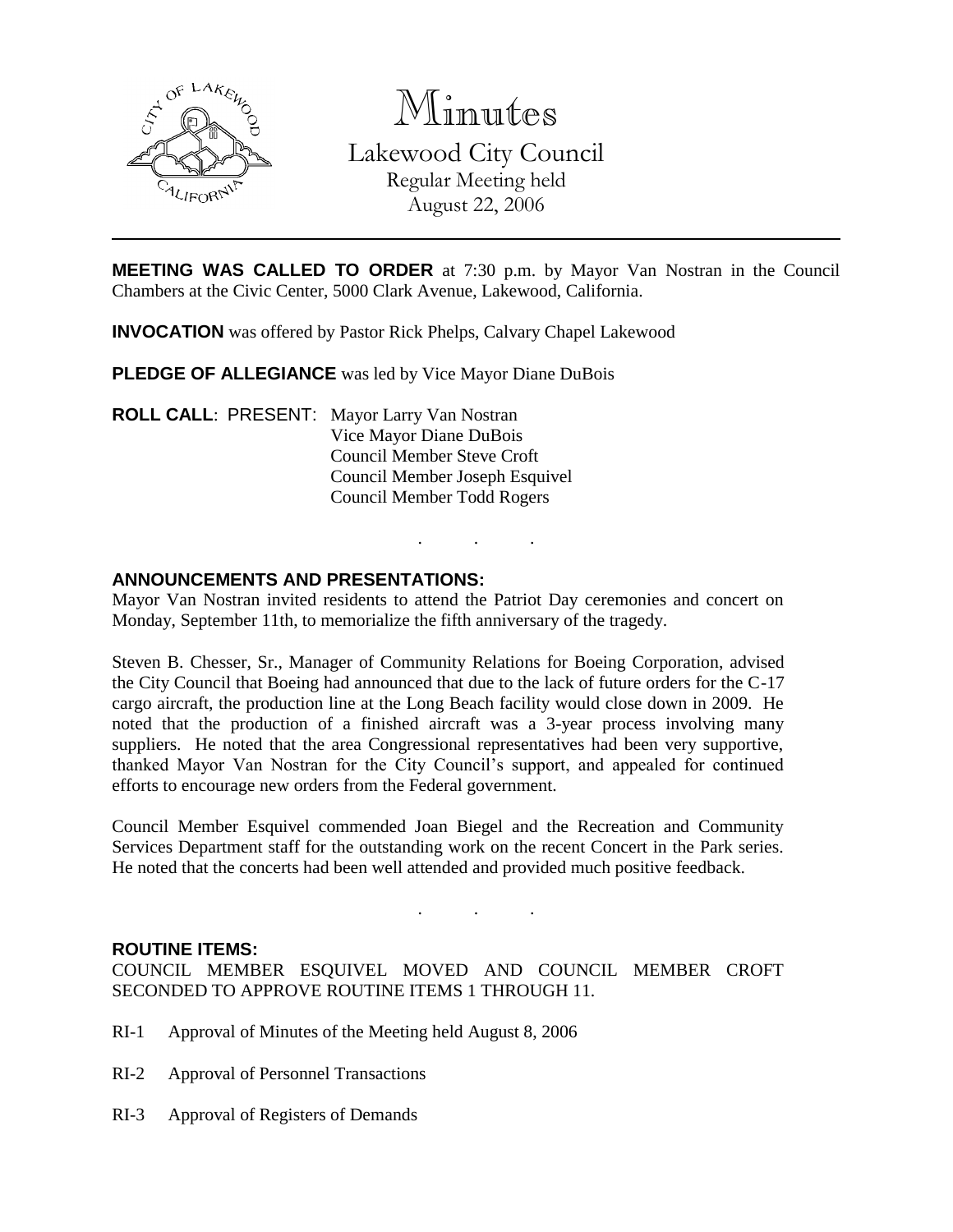

Minutes Lakewood City Council Regular Meeting held August 22, 2006

**MEETING WAS CALLED TO ORDER** at 7:30 p.m. by Mayor Van Nostran in the Council Chambers at the Civic Center, 5000 Clark Avenue, Lakewood, California.

**INVOCATION** was offered by Pastor Rick Phelps, Calvary Chapel Lakewood

**PLEDGE OF ALLEGIANCE** was led by Vice Mayor Diane DuBois

**ROLL CALL**: PRESENT: Mayor Larry Van Nostran Vice Mayor Diane DuBois Council Member Steve Croft Council Member Joseph Esquivel Council Member Todd Rogers

### **ANNOUNCEMENTS AND PRESENTATIONS:**

Mayor Van Nostran invited residents to attend the Patriot Day ceremonies and concert on Monday, September 11th, to memorialize the fifth anniversary of the tragedy.

. . .

Steven B. Chesser, Sr., Manager of Community Relations for Boeing Corporation, advised the City Council that Boeing had announced that due to the lack of future orders for the C-17 cargo aircraft, the production line at the Long Beach facility would close down in 2009. He noted that the production of a finished aircraft was a 3-year process involving many suppliers. He noted that the area Congressional representatives had been very supportive, thanked Mayor Van Nostran for the City Council's support, and appealed for continued efforts to encourage new orders from the Federal government.

Council Member Esquivel commended Joan Biegel and the Recreation and Community Services Department staff for the outstanding work on the recent Concert in the Park series. He noted that the concerts had been well attended and provided much positive feedback.

. . .

### **ROUTINE ITEMS:**

COUNCIL MEMBER ESQUIVEL MOVED AND COUNCIL MEMBER CROFT SECONDED TO APPROVE ROUTINE ITEMS 1 THROUGH 11.

- RI-1 Approval of Minutes of the Meeting held August 8, 2006
- RI-2 Approval of Personnel Transactions
- RI-3 Approval of Registers of Demands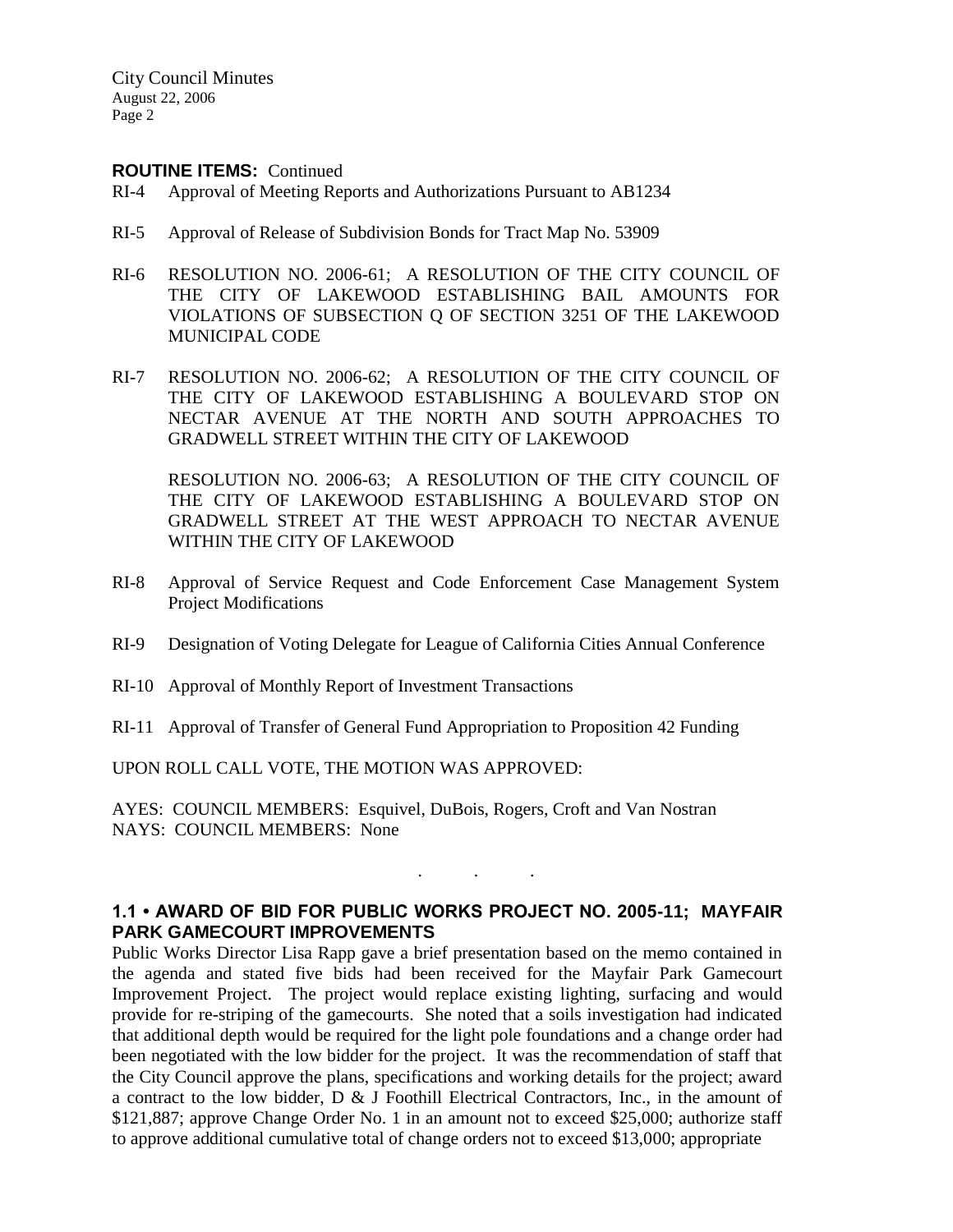### **ROUTINE ITEMS:** Continued

- RI-4 Approval of Meeting Reports and Authorizations Pursuant to AB1234
- RI-5 Approval of Release of Subdivision Bonds for Tract Map No. 53909
- RI-6 RESOLUTION NO. 2006-61; A RESOLUTION OF THE CITY COUNCIL OF THE CITY OF LAKEWOOD ESTABLISHING BAIL AMOUNTS FOR VIOLATIONS OF SUBSECTION Q OF SECTION 3251 OF THE LAKEWOOD MUNICIPAL CODE
- RI-7 RESOLUTION NO. 2006-62; A RESOLUTION OF THE CITY COUNCIL OF THE CITY OF LAKEWOOD ESTABLISHING A BOULEVARD STOP ON NECTAR AVENUE AT THE NORTH AND SOUTH APPROACHES TO GRADWELL STREET WITHIN THE CITY OF LAKEWOOD

RESOLUTION NO. 2006-63; A RESOLUTION OF THE CITY COUNCIL OF THE CITY OF LAKEWOOD ESTABLISHING A BOULEVARD STOP ON GRADWELL STREET AT THE WEST APPROACH TO NECTAR AVENUE WITHIN THE CITY OF LAKEWOOD

- RI-8 Approval of Service Request and Code Enforcement Case Management System Project Modifications
- RI-9 Designation of Voting Delegate for League of California Cities Annual Conference
- RI-10 Approval of Monthly Report of Investment Transactions
- RI-11 Approval of Transfer of General Fund Appropriation to Proposition 42 Funding

UPON ROLL CALL VOTE, THE MOTION WAS APPROVED:

AYES: COUNCIL MEMBERS: Esquivel, DuBois, Rogers, Croft and Van Nostran NAYS: COUNCIL MEMBERS: None

## **1.1 • AWARD OF BID FOR PUBLIC WORKS PROJECT NO. 2005-11; MAYFAIR PARK GAMECOURT IMPROVEMENTS**

. . .

Public Works Director Lisa Rapp gave a brief presentation based on the memo contained in the agenda and stated five bids had been received for the Mayfair Park Gamecourt Improvement Project. The project would replace existing lighting, surfacing and would provide for re-striping of the gamecourts. She noted that a soils investigation had indicated that additional depth would be required for the light pole foundations and a change order had been negotiated with the low bidder for the project. It was the recommendation of staff that the City Council approve the plans, specifications and working details for the project; award a contract to the low bidder, D & J Foothill Electrical Contractors, Inc., in the amount of \$121,887; approve Change Order No. 1 in an amount not to exceed \$25,000; authorize staff to approve additional cumulative total of change orders not to exceed \$13,000; appropriate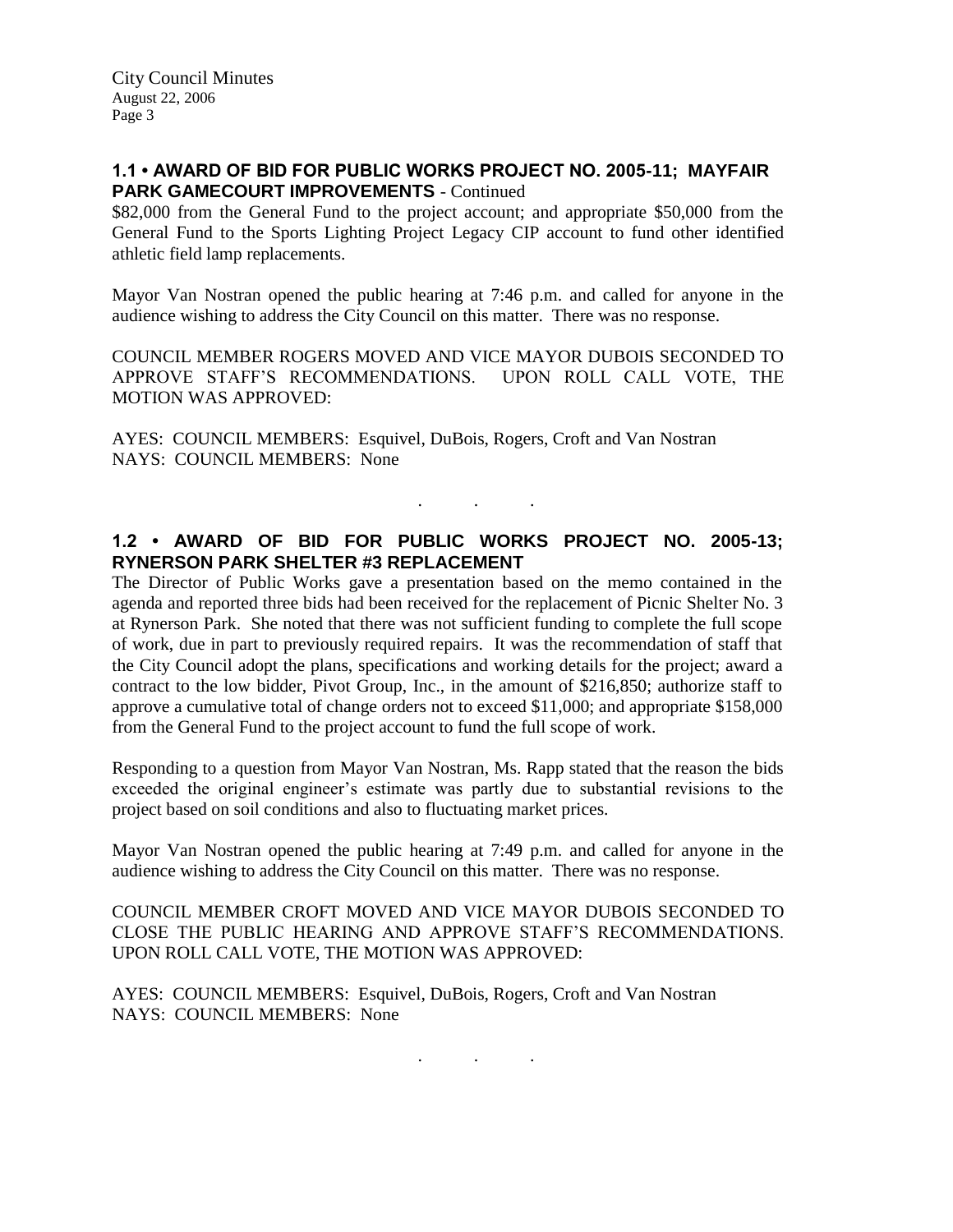## **1.1 • AWARD OF BID FOR PUBLIC WORKS PROJECT NO. 2005-11; MAYFAIR PARK GAMECOURT IMPROVEMENTS** - Continued

\$82,000 from the General Fund to the project account; and appropriate \$50,000 from the General Fund to the Sports Lighting Project Legacy CIP account to fund other identified athletic field lamp replacements.

Mayor Van Nostran opened the public hearing at 7:46 p.m. and called for anyone in the audience wishing to address the City Council on this matter. There was no response.

COUNCIL MEMBER ROGERS MOVED AND VICE MAYOR DUBOIS SECONDED TO APPROVE STAFF'S RECOMMENDATIONS. UPON ROLL CALL VOTE, THE MOTION WAS APPROVED:

AYES: COUNCIL MEMBERS: Esquivel, DuBois, Rogers, Croft and Van Nostran NAYS: COUNCIL MEMBERS: None

# **1.2 • AWARD OF BID FOR PUBLIC WORKS PROJECT NO. 2005-13; RYNERSON PARK SHELTER #3 REPLACEMENT**

. . .

The Director of Public Works gave a presentation based on the memo contained in the agenda and reported three bids had been received for the replacement of Picnic Shelter No. 3 at Rynerson Park. She noted that there was not sufficient funding to complete the full scope of work, due in part to previously required repairs. It was the recommendation of staff that the City Council adopt the plans, specifications and working details for the project; award a contract to the low bidder, Pivot Group, Inc., in the amount of \$216,850; authorize staff to approve a cumulative total of change orders not to exceed \$11,000; and appropriate \$158,000 from the General Fund to the project account to fund the full scope of work.

Responding to a question from Mayor Van Nostran, Ms. Rapp stated that the reason the bids exceeded the original engineer's estimate was partly due to substantial revisions to the project based on soil conditions and also to fluctuating market prices.

Mayor Van Nostran opened the public hearing at 7:49 p.m. and called for anyone in the audience wishing to address the City Council on this matter. There was no response.

COUNCIL MEMBER CROFT MOVED AND VICE MAYOR DUBOIS SECONDED TO CLOSE THE PUBLIC HEARING AND APPROVE STAFF'S RECOMMENDATIONS. UPON ROLL CALL VOTE, THE MOTION WAS APPROVED:

AYES: COUNCIL MEMBERS: Esquivel, DuBois, Rogers, Croft and Van Nostran NAYS: COUNCIL MEMBERS: None

. . .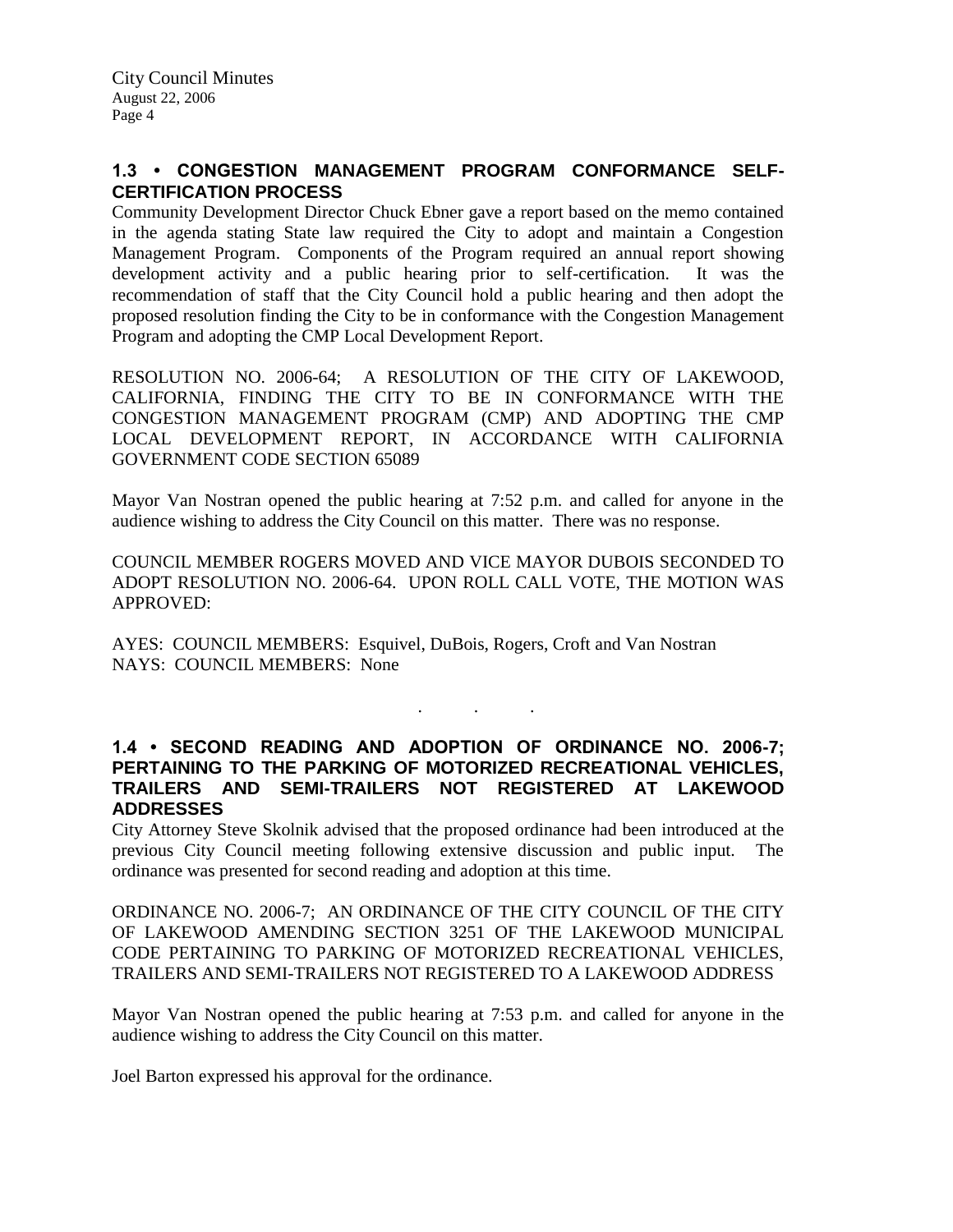## **1.3 • CONGESTION MANAGEMENT PROGRAM CONFORMANCE SELF-CERTIFICATION PROCESS**

Community Development Director Chuck Ebner gave a report based on the memo contained in the agenda stating State law required the City to adopt and maintain a Congestion Management Program. Components of the Program required an annual report showing development activity and a public hearing prior to self-certification. It was the recommendation of staff that the City Council hold a public hearing and then adopt the proposed resolution finding the City to be in conformance with the Congestion Management Program and adopting the CMP Local Development Report.

RESOLUTION NO. 2006-64; A RESOLUTION OF THE CITY OF LAKEWOOD, CALIFORNIA, FINDING THE CITY TO BE IN CONFORMANCE WITH THE CONGESTION MANAGEMENT PROGRAM (CMP) AND ADOPTING THE CMP LOCAL DEVELOPMENT REPORT, IN ACCORDANCE WITH CALIFORNIA GOVERNMENT CODE SECTION 65089

Mayor Van Nostran opened the public hearing at 7:52 p.m. and called for anyone in the audience wishing to address the City Council on this matter. There was no response.

COUNCIL MEMBER ROGERS MOVED AND VICE MAYOR DUBOIS SECONDED TO ADOPT RESOLUTION NO. 2006-64. UPON ROLL CALL VOTE, THE MOTION WAS APPROVED:

AYES: COUNCIL MEMBERS: Esquivel, DuBois, Rogers, Croft and Van Nostran NAYS: COUNCIL MEMBERS: None

### **1.4 • SECOND READING AND ADOPTION OF ORDINANCE NO. 2006-7; PERTAINING TO THE PARKING OF MOTORIZED RECREATIONAL VEHICLES, TRAILERS AND SEMI-TRAILERS NOT REGISTERED AT LAKEWOOD ADDRESSES**

. . .

City Attorney Steve Skolnik advised that the proposed ordinance had been introduced at the previous City Council meeting following extensive discussion and public input. The ordinance was presented for second reading and adoption at this time.

ORDINANCE NO. 2006-7; AN ORDINANCE OF THE CITY COUNCIL OF THE CITY OF LAKEWOOD AMENDING SECTION 3251 OF THE LAKEWOOD MUNICIPAL CODE PERTAINING TO PARKING OF MOTORIZED RECREATIONAL VEHICLES, TRAILERS AND SEMI-TRAILERS NOT REGISTERED TO A LAKEWOOD ADDRESS

Mayor Van Nostran opened the public hearing at 7:53 p.m. and called for anyone in the audience wishing to address the City Council on this matter.

Joel Barton expressed his approval for the ordinance.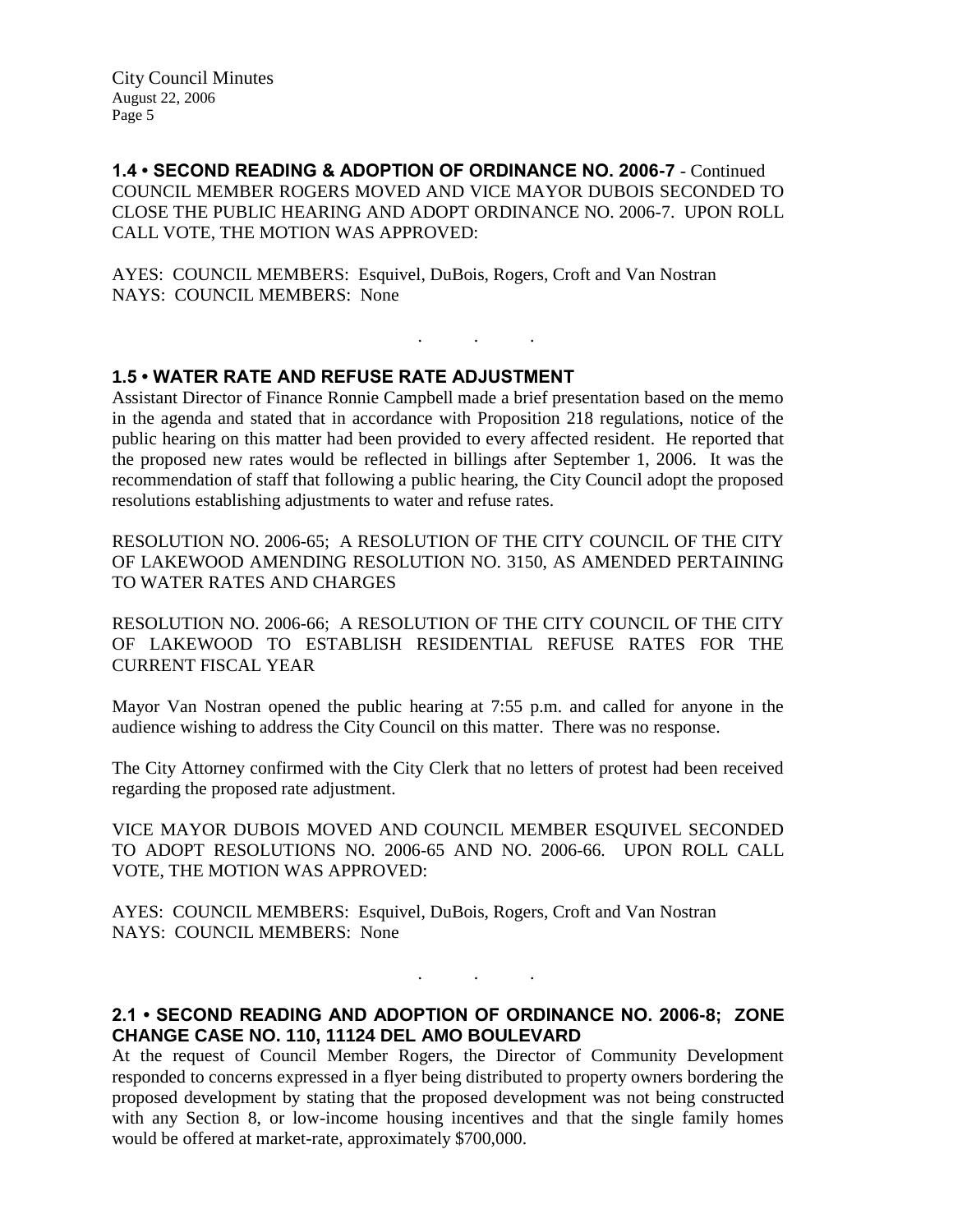**1.4 • SECOND READING & ADOPTION OF ORDINANCE NO. 2006-7** - Continued COUNCIL MEMBER ROGERS MOVED AND VICE MAYOR DUBOIS SECONDED TO CLOSE THE PUBLIC HEARING AND ADOPT ORDINANCE NO. 2006-7. UPON ROLL CALL VOTE, THE MOTION WAS APPROVED:

AYES: COUNCIL MEMBERS: Esquivel, DuBois, Rogers, Croft and Van Nostran NAYS: COUNCIL MEMBERS: None

## **1.5 • WATER RATE AND REFUSE RATE ADJUSTMENT**

Assistant Director of Finance Ronnie Campbell made a brief presentation based on the memo in the agenda and stated that in accordance with Proposition 218 regulations, notice of the public hearing on this matter had been provided to every affected resident. He reported that the proposed new rates would be reflected in billings after September 1, 2006. It was the recommendation of staff that following a public hearing, the City Council adopt the proposed resolutions establishing adjustments to water and refuse rates.

. . .

RESOLUTION NO. 2006-65; A RESOLUTION OF THE CITY COUNCIL OF THE CITY OF LAKEWOOD AMENDING RESOLUTION NO. 3150, AS AMENDED PERTAINING TO WATER RATES AND CHARGES

RESOLUTION NO. 2006-66; A RESOLUTION OF THE CITY COUNCIL OF THE CITY OF LAKEWOOD TO ESTABLISH RESIDENTIAL REFUSE RATES FOR THE CURRENT FISCAL YEAR

Mayor Van Nostran opened the public hearing at 7:55 p.m. and called for anyone in the audience wishing to address the City Council on this matter. There was no response.

The City Attorney confirmed with the City Clerk that no letters of protest had been received regarding the proposed rate adjustment.

VICE MAYOR DUBOIS MOVED AND COUNCIL MEMBER ESQUIVEL SECONDED TO ADOPT RESOLUTIONS NO. 2006-65 AND NO. 2006-66. UPON ROLL CALL VOTE, THE MOTION WAS APPROVED:

AYES: COUNCIL MEMBERS: Esquivel, DuBois, Rogers, Croft and Van Nostran NAYS: COUNCIL MEMBERS: None

# **2.1 • SECOND READING AND ADOPTION OF ORDINANCE NO. 2006-8; ZONE CHANGE CASE NO. 110, 11124 DEL AMO BOULEVARD**

 $\mathbf{r}$  .  $\mathbf{r}$  ,  $\mathbf{r}$  ,  $\mathbf{r}$  ,  $\mathbf{r}$  ,  $\mathbf{r}$  ,  $\mathbf{r}$ 

At the request of Council Member Rogers, the Director of Community Development responded to concerns expressed in a flyer being distributed to property owners bordering the proposed development by stating that the proposed development was not being constructed with any Section 8, or low-income housing incentives and that the single family homes would be offered at market-rate, approximately \$700,000.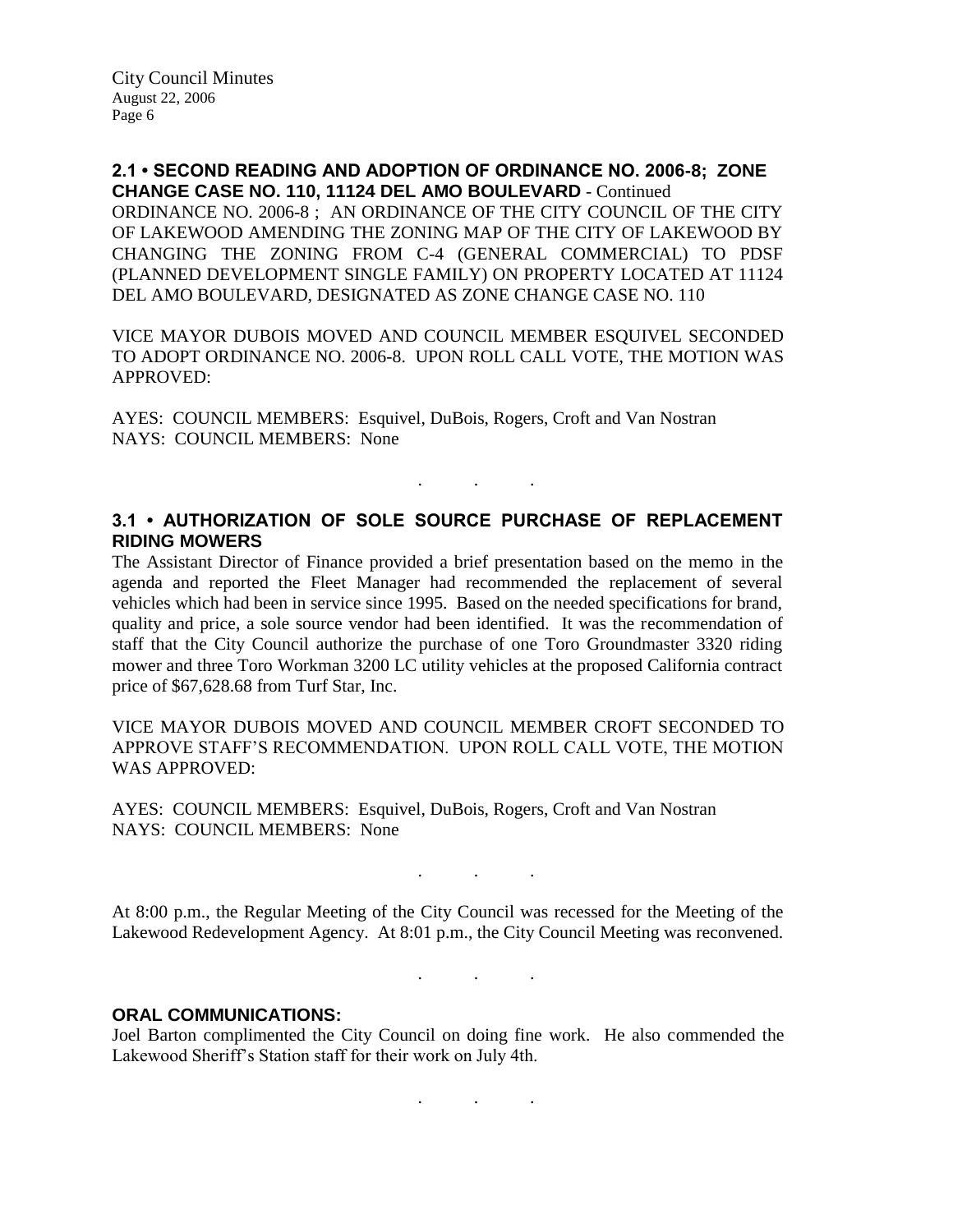**2.1 • SECOND READING AND ADOPTION OF ORDINANCE NO. 2006-8; ZONE CHANGE CASE NO. 110, 11124 DEL AMO BOULEVARD** - Continued ORDINANCE NO. 2006-8 ; AN ORDINANCE OF THE CITY COUNCIL OF THE CITY OF LAKEWOOD AMENDING THE ZONING MAP OF THE CITY OF LAKEWOOD BY CHANGING THE ZONING FROM C-4 (GENERAL COMMERCIAL) TO PDSF (PLANNED DEVELOPMENT SINGLE FAMILY) ON PROPERTY LOCATED AT 11124 DEL AMO BOULEVARD, DESIGNATED AS ZONE CHANGE CASE NO. 110

VICE MAYOR DUBOIS MOVED AND COUNCIL MEMBER ESQUIVEL SECONDED TO ADOPT ORDINANCE NO. 2006-8. UPON ROLL CALL VOTE, THE MOTION WAS APPROVED:

AYES: COUNCIL MEMBERS: Esquivel, DuBois, Rogers, Croft and Van Nostran NAYS: COUNCIL MEMBERS: None

## **3.1 • AUTHORIZATION OF SOLE SOURCE PURCHASE OF REPLACEMENT RIDING MOWERS**

. The same is a set of  $\mathcal{A}$  , and  $\mathcal{A}$ 

The Assistant Director of Finance provided a brief presentation based on the memo in the agenda and reported the Fleet Manager had recommended the replacement of several vehicles which had been in service since 1995. Based on the needed specifications for brand, quality and price, a sole source vendor had been identified. It was the recommendation of staff that the City Council authorize the purchase of one Toro Groundmaster 3320 riding mower and three Toro Workman 3200 LC utility vehicles at the proposed California contract price of \$67,628.68 from Turf Star, Inc.

VICE MAYOR DUBOIS MOVED AND COUNCIL MEMBER CROFT SECONDED TO APPROVE STAFF'S RECOMMENDATION. UPON ROLL CALL VOTE, THE MOTION WAS APPROVED:

AYES: COUNCIL MEMBERS: Esquivel, DuBois, Rogers, Croft and Van Nostran NAYS: COUNCIL MEMBERS: None

At 8:00 p.m., the Regular Meeting of the City Council was recessed for the Meeting of the Lakewood Redevelopment Agency. At 8:01 p.m., the City Council Meeting was reconvened.

. . .

. . .

. . .

### **ORAL COMMUNICATIONS:**

Joel Barton complimented the City Council on doing fine work. He also commended the Lakewood Sheriff's Station staff for their work on July 4th.